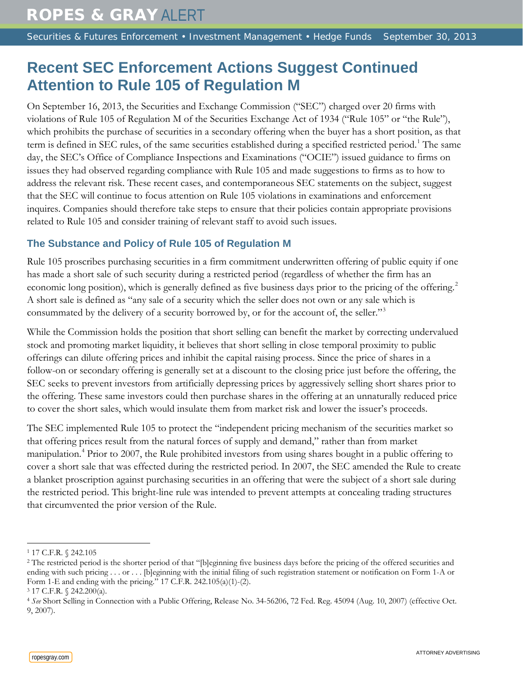Securities & Futures Enforcement • Investment Management • Hedge Funds September 30, 2013

# **Recent SEC Enforcement Actions Suggest Continued Attention to Rule 105 of Regulation M**

On September 16, 2013, the Securities and Exchange Commission ("SEC") charged over 20 firms with violations of Rule 105 of Regulation M of the Securities Exchange Act of 1934 ("Rule 105" or "the Rule"), which prohibits the purchase of securities in a secondary offering when the buyer has a short position, as that term is defined in SEC rules, of the same securities established during a specified restricted period.<sup>[1](#page-0-0)</sup> The same day, the SEC's Office of Compliance Inspections and Examinations ("OCIE") issued guidance to firms on issues they had observed regarding compliance with Rule 105 and made suggestions to firms as to how to address the relevant risk. These recent cases, and contemporaneous SEC statements on the subject, suggest that the SEC will continue to focus attention on Rule 105 violations in examinations and enforcement inquires. Companies should therefore take steps to ensure that their policies contain appropriate provisions related to Rule 105 and consider training of relevant staff to avoid such issues.

## **The Substance and Policy of Rule 105 of Regulation M**

Rule 105 proscribes purchasing securities in a firm commitment underwritten offering of public equity if one has made a short sale of such security during a restricted period (regardless of whether the firm has an economic long position), which is generally defined as five business days prior to the pricing of the offering.<sup>[2](#page-0-1)</sup> A short sale is defined as "any sale of a security which the seller does not own or any sale which is consummated by the delivery of a security borrowed by, or for the account of, the seller."[3](#page-0-2)

While the Commission holds the position that short selling can benefit the market by correcting undervalued stock and promoting market liquidity, it believes that short selling in close temporal proximity to public offerings can dilute offering prices and inhibit the capital raising process. Since the price of shares in a follow-on or secondary offering is generally set at a discount to the closing price just before the offering, the SEC seeks to prevent investors from artificially depressing prices by aggressively selling short shares prior to the offering. These same investors could then purchase shares in the offering at an unnaturally reduced price to cover the short sales, which would insulate them from market risk and lower the issuer's proceeds.

The SEC implemented Rule 105 to protect the "independent pricing mechanism of the securities market so that offering prices result from the natural forces of supply and demand," rather than from market manipulation. [4](#page-0-3) Prior to 2007, the Rule prohibited investors from using shares bought in a public offering to cover a short sale that was effected during the restricted period. In 2007, the SEC amended the Rule to create a blanket proscription against purchasing securities in an offering that were the subject of a short sale during the restricted period. This bright-line rule was intended to prevent attempts at concealing trading structures that circumvented the prior version of the Rule.

 $\overline{a}$ <sup>1</sup> 17 C.F.R. § 242.105

<span id="page-0-1"></span><span id="page-0-0"></span><sup>&</sup>lt;sup>2</sup> The restricted period is the shorter period of that "[b]eginning five business days before the pricing of the offered securities and ending with such pricing . . . or . . . [b]eginning with the initial filing of such registration statement or notification on Form 1-A or Form 1-E and ending with the pricing." 17 C.F.R. 242.105(a)(1)-(2).

<span id="page-0-2"></span><sup>3</sup> 17 C.F.R. § 242.200(a).

<span id="page-0-3"></span><sup>4</sup> *See* Short Selling in Connection with a Public Offering, Release No. 34-56206, 72 Fed. Reg. 45094 (Aug. 10, 2007) (effective Oct. 9, 2007).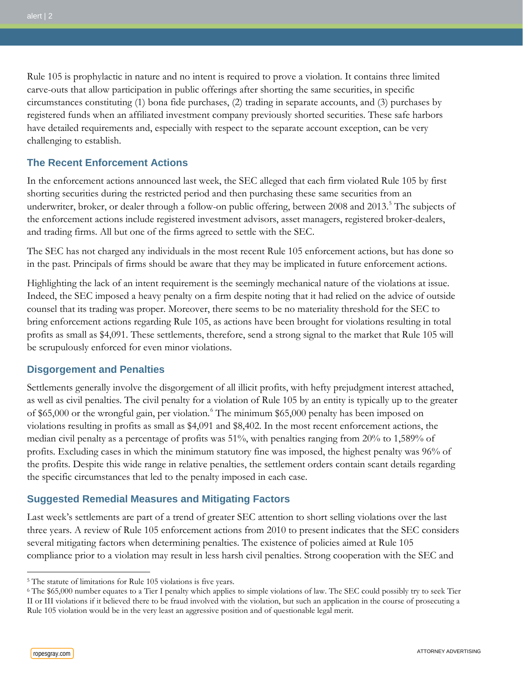Rule 105 is prophylactic in nature and no intent is required to prove a violation. It contains three limited carve-outs that allow participation in public offerings after shorting the same securities, in specific circumstances constituting (1) bona fide purchases, (2) trading in separate accounts, and (3) purchases by registered funds when an affiliated investment company previously shorted securities. These safe harbors have detailed requirements and, especially with respect to the separate account exception, can be very challenging to establish.

### **The Recent Enforcement Actions**

In the enforcement actions announced last week, the SEC alleged that each firm violated Rule 105 by first shorting securities during the restricted period and then purchasing these same securities from an underwriter, broker, or dealer through a follow-on public offering, between 2008 and 2013. [5](#page-1-0) The subjects of the enforcement actions include registered investment advisors, asset managers, registered broker-dealers, and trading firms. All but one of the firms agreed to settle with the SEC.

The SEC has not charged any individuals in the most recent Rule 105 enforcement actions, but has done so in the past. Principals of firms should be aware that they may be implicated in future enforcement actions.

Highlighting the lack of an intent requirement is the seemingly mechanical nature of the violations at issue. Indeed, the SEC imposed a heavy penalty on a firm despite noting that it had relied on the advice of outside counsel that its trading was proper. Moreover, there seems to be no materiality threshold for the SEC to bring enforcement actions regarding Rule 105, as actions have been brought for violations resulting in total profits as small as \$4,091. These settlements, therefore, send a strong signal to the market that Rule 105 will be scrupulously enforced for even minor violations.

#### **Disgorgement and Penalties**

Settlements generally involve the disgorgement of all illicit profits, with hefty prejudgment interest attached, as well as civil penalties. The civil penalty for a violation of Rule 105 by an entity is typically up to the greater of \$65,000 or the wrongful gain, per violation. [6](#page-1-1) The minimum \$65,000 penalty has been imposed on violations resulting in profits as small as \$4,091 and \$8,402. In the most recent enforcement actions, the median civil penalty as a percentage of profits was 51%, with penalties ranging from 20% to 1,589% of profits. Excluding cases in which the minimum statutory fine was imposed, the highest penalty was 96% of the profits. Despite this wide range in relative penalties, the settlement orders contain scant details regarding the specific circumstances that led to the penalty imposed in each case.

#### **Suggested Remedial Measures and Mitigating Factors**

Last week's settlements are part of a trend of greater SEC attention to short selling violations over the last three years. A review of Rule 105 enforcement actions from 2010 to present indicates that the SEC considers several mitigating factors when determining penalties. The existence of policies aimed at Rule 105 compliance prior to a violation may result in less harsh civil penalties. Strong cooperation with the SEC and

 $\overline{a}$ 

<span id="page-1-0"></span><sup>&</sup>lt;sup>5</sup> The statute of limitations for Rule 105 violations is five years.

<span id="page-1-1"></span> $6$  The \$65,000 number equates to a Tier I penalty which applies to simple violations of law. The SEC could possibly try to seek Tier II or III violations if it believed there to be fraud involved with the violation, but such an application in the course of prosecuting a Rule 105 violation would be in the very least an aggressive position and of questionable legal merit.